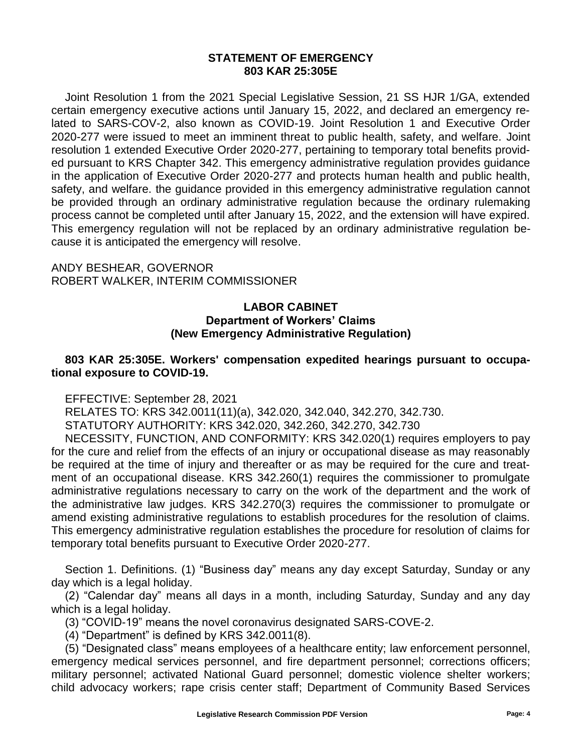### **STATEMENT OF EMERGENCY 803 KAR 25:305E**

Joint Resolution 1 from the 2021 Special Legislative Session, 21 SS HJR 1/GA, extended certain emergency executive actions until January 15, 2022, and declared an emergency related to SARS-COV-2, also known as COVID-19. Joint Resolution 1 and Executive Order 2020-277 were issued to meet an imminent threat to public health, safety, and welfare. Joint resolution 1 extended Executive Order 2020-277, pertaining to temporary total benefits provided pursuant to KRS Chapter 342. This emergency administrative regulation provides guidance in the application of Executive Order 2020-277 and protects human health and public health, safety, and welfare. the guidance provided in this emergency administrative regulation cannot be provided through an ordinary administrative regulation because the ordinary rulemaking process cannot be completed until after January 15, 2022, and the extension will have expired. This emergency regulation will not be replaced by an ordinary administrative regulation because it is anticipated the emergency will resolve.

ANDY BESHEAR, GOVERNOR ROBERT WALKER, INTERIM COMMISSIONER

### **LABOR CABINET Department of Workers' Claims (New Emergency Administrative Regulation)**

### **803 KAR 25:305E. Workers' compensation expedited hearings pursuant to occupational exposure to COVID-19.**

EFFECTIVE: September 28, 2021

RELATES TO: KRS 342.0011(11)(a), 342.020, 342.040, 342.270, 342.730.

STATUTORY AUTHORITY: KRS 342.020, 342.260, 342.270, 342.730

NECESSITY, FUNCTION, AND CONFORMITY: KRS 342.020(1) requires employers to pay for the cure and relief from the effects of an injury or occupational disease as may reasonably be required at the time of injury and thereafter or as may be required for the cure and treatment of an occupational disease. KRS 342.260(1) requires the commissioner to promulgate administrative regulations necessary to carry on the work of the department and the work of the administrative law judges. KRS 342.270(3) requires the commissioner to promulgate or amend existing administrative regulations to establish procedures for the resolution of claims. This emergency administrative regulation establishes the procedure for resolution of claims for temporary total benefits pursuant to Executive Order 2020-277.

Section 1. Definitions. (1) "Business day" means any day except Saturday, Sunday or any day which is a legal holiday.

(2) "Calendar day" means all days in a month, including Saturday, Sunday and any day which is a legal holiday.

(3) "COVID-19" means the novel coronavirus designated SARS-COVE-2.

(4) "Department" is defined by KRS 342.0011(8).

(5) "Designated class" means employees of a healthcare entity; law enforcement personnel, emergency medical services personnel, and fire department personnel; corrections officers; military personnel; activated National Guard personnel; domestic violence shelter workers; child advocacy workers; rape crisis center staff; Department of Community Based Services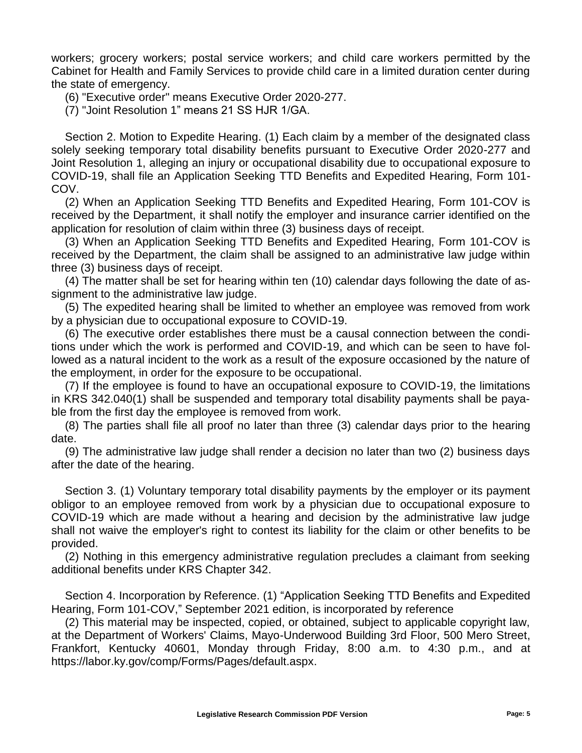workers; grocery workers; postal service workers; and child care workers permitted by the Cabinet for Health and Family Services to provide child care in a limited duration center during the state of emergency.

(6) "Executive order" means Executive Order 2020-277.

(7) "Joint Resolution 1" means 21 SS HJR 1/GA.

Section 2. Motion to Expedite Hearing. (1) Each claim by a member of the designated class solely seeking temporary total disability benefits pursuant to Executive Order 2020-277 and Joint Resolution 1, alleging an injury or occupational disability due to occupational exposure to COVID-19, shall file an Application Seeking TTD Benefits and Expedited Hearing, Form 101- COV.

(2) When an Application Seeking TTD Benefits and Expedited Hearing, Form 101-COV is received by the Department, it shall notify the employer and insurance carrier identified on the application for resolution of claim within three (3) business days of receipt.

(3) When an Application Seeking TTD Benefits and Expedited Hearing, Form 101-COV is received by the Department, the claim shall be assigned to an administrative law judge within three (3) business days of receipt.

(4) The matter shall be set for hearing within ten (10) calendar days following the date of assignment to the administrative law judge.

(5) The expedited hearing shall be limited to whether an employee was removed from work by a physician due to occupational exposure to COVID-19.

(6) The executive order establishes there must be a causal connection between the conditions under which the work is performed and COVID-19, and which can be seen to have followed as a natural incident to the work as a result of the exposure occasioned by the nature of the employment, in order for the exposure to be occupational.

(7) If the employee is found to have an occupational exposure to COVID-19, the limitations in KRS 342.040(1) shall be suspended and temporary total disability payments shall be payable from the first day the employee is removed from work.

(8) The parties shall file all proof no later than three (3) calendar days prior to the hearing date.

(9) The administrative law judge shall render a decision no later than two (2) business days after the date of the hearing.

Section 3. (1) Voluntary temporary total disability payments by the employer or its payment obligor to an employee removed from work by a physician due to occupational exposure to COVID-19 which are made without a hearing and decision by the administrative law judge shall not waive the employer's right to contest its liability for the claim or other benefits to be provided.

(2) Nothing in this emergency administrative regulation precludes a claimant from seeking additional benefits under KRS Chapter 342.

Section 4. Incorporation by Reference. (1) "Application Seeking TTD Benefits and Expedited Hearing, Form 101-COV," September 2021 edition, is incorporated by reference

(2) This material may be inspected, copied, or obtained, subject to applicable copyright law, at the Department of Workers' Claims, Mayo-Underwood Building 3rd Floor, 500 Mero Street, Frankfort, Kentucky 40601, Monday through Friday, 8:00 a.m. to 4:30 p.m., and at https://labor.ky.gov/comp/Forms/Pages/default.aspx.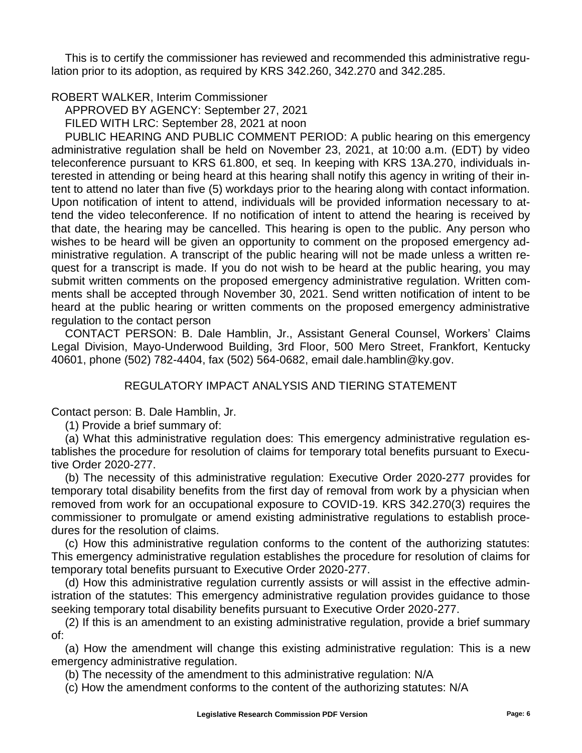This is to certify the commissioner has reviewed and recommended this administrative regulation prior to its adoption, as required by KRS 342.260, 342.270 and 342.285.

# ROBERT WALKER, Interim Commissioner

APPROVED BY AGENCY: September 27, 2021

FILED WITH LRC: September 28, 2021 at noon

PUBLIC HEARING AND PUBLIC COMMENT PERIOD: A public hearing on this emergency administrative regulation shall be held on November 23, 2021, at 10:00 a.m. (EDT) by video teleconference pursuant to KRS 61.800, et seq. In keeping with KRS 13A.270, individuals interested in attending or being heard at this hearing shall notify this agency in writing of their intent to attend no later than five (5) workdays prior to the hearing along with contact information. Upon notification of intent to attend, individuals will be provided information necessary to attend the video teleconference. If no notification of intent to attend the hearing is received by that date, the hearing may be cancelled. This hearing is open to the public. Any person who wishes to be heard will be given an opportunity to comment on the proposed emergency administrative regulation. A transcript of the public hearing will not be made unless a written request for a transcript is made. If you do not wish to be heard at the public hearing, you may submit written comments on the proposed emergency administrative regulation. Written comments shall be accepted through November 30, 2021. Send written notification of intent to be heard at the public hearing or written comments on the proposed emergency administrative regulation to the contact person

CONTACT PERSON: B. Dale Hamblin, Jr., Assistant General Counsel, Workers' Claims Legal Division, Mayo-Underwood Building, 3rd Floor, 500 Mero Street, Frankfort, Kentucky 40601, phone (502) 782-4404, fax (502) 564-0682, email dale.hamblin@ky.gov.

# REGULATORY IMPACT ANALYSIS AND TIERING STATEMENT

Contact person: B. Dale Hamblin, Jr.

## (1) Provide a brief summary of:

(a) What this administrative regulation does: This emergency administrative regulation establishes the procedure for resolution of claims for temporary total benefits pursuant to Executive Order 2020-277.

(b) The necessity of this administrative regulation: Executive Order 2020-277 provides for temporary total disability benefits from the first day of removal from work by a physician when removed from work for an occupational exposure to COVID-19. KRS 342.270(3) requires the commissioner to promulgate or amend existing administrative regulations to establish procedures for the resolution of claims.

(c) How this administrative regulation conforms to the content of the authorizing statutes: This emergency administrative regulation establishes the procedure for resolution of claims for temporary total benefits pursuant to Executive Order 2020-277.

(d) How this administrative regulation currently assists or will assist in the effective administration of the statutes: This emergency administrative regulation provides guidance to those seeking temporary total disability benefits pursuant to Executive Order 2020-277.

(2) If this is an amendment to an existing administrative regulation, provide a brief summary of:

(a) How the amendment will change this existing administrative regulation: This is a new emergency administrative regulation.

(b) The necessity of the amendment to this administrative regulation: N/A

(c) How the amendment conforms to the content of the authorizing statutes: N/A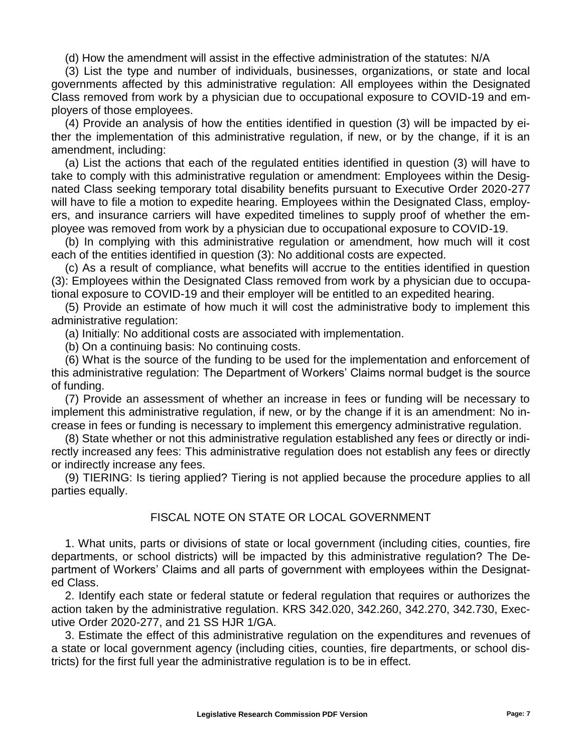(d) How the amendment will assist in the effective administration of the statutes: N/A

(3) List the type and number of individuals, businesses, organizations, or state and local governments affected by this administrative regulation: All employees within the Designated Class removed from work by a physician due to occupational exposure to COVID-19 and employers of those employees.

(4) Provide an analysis of how the entities identified in question (3) will be impacted by either the implementation of this administrative regulation, if new, or by the change, if it is an amendment, including:

(a) List the actions that each of the regulated entities identified in question (3) will have to take to comply with this administrative regulation or amendment: Employees within the Designated Class seeking temporary total disability benefits pursuant to Executive Order 2020-277 will have to file a motion to expedite hearing. Employees within the Designated Class, employers, and insurance carriers will have expedited timelines to supply proof of whether the employee was removed from work by a physician due to occupational exposure to COVID-19.

(b) In complying with this administrative regulation or amendment, how much will it cost each of the entities identified in question (3): No additional costs are expected.

(c) As a result of compliance, what benefits will accrue to the entities identified in question (3): Employees within the Designated Class removed from work by a physician due to occupational exposure to COVID-19 and their employer will be entitled to an expedited hearing.

(5) Provide an estimate of how much it will cost the administrative body to implement this administrative regulation:

(a) Initially: No additional costs are associated with implementation.

(b) On a continuing basis: No continuing costs.

(6) What is the source of the funding to be used for the implementation and enforcement of this administrative regulation: The Department of Workers' Claims normal budget is the source of funding.

(7) Provide an assessment of whether an increase in fees or funding will be necessary to implement this administrative regulation, if new, or by the change if it is an amendment: No increase in fees or funding is necessary to implement this emergency administrative regulation.

(8) State whether or not this administrative regulation established any fees or directly or indirectly increased any fees: This administrative regulation does not establish any fees or directly or indirectly increase any fees.

(9) TIERING: Is tiering applied? Tiering is not applied because the procedure applies to all parties equally.

## FISCAL NOTE ON STATE OR LOCAL GOVERNMENT

1. What units, parts or divisions of state or local government (including cities, counties, fire departments, or school districts) will be impacted by this administrative regulation? The Department of Workers' Claims and all parts of government with employees within the Designated Class.

2. Identify each state or federal statute or federal regulation that requires or authorizes the action taken by the administrative regulation. KRS 342.020, 342.260, 342.270, 342.730, Executive Order 2020-277, and 21 SS HJR 1/GA.

3. Estimate the effect of this administrative regulation on the expenditures and revenues of a state or local government agency (including cities, counties, fire departments, or school districts) for the first full year the administrative regulation is to be in effect.